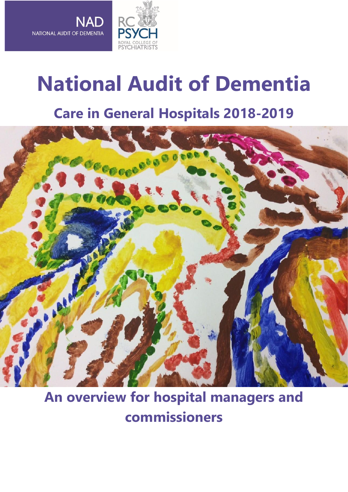

**NAD** 

NATIONAL AUDIT OF DEMENTIA

# **National Audit of Dementia**

# **Care in General Hospitals 2018-2019**



# **An overview for hospital managers and commissioners**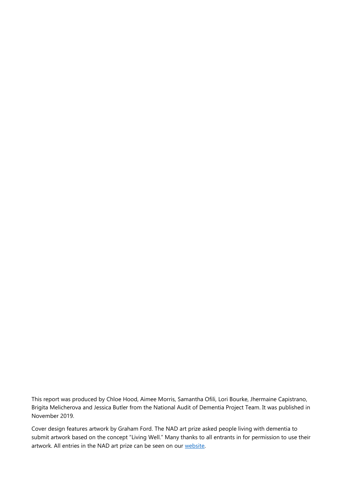This report was produced by Chloe Hood, Aimee Morris, Samantha Ofili, Lori Bourke, Jhermaine Capistrano, Brigita Melicherova and Jessica Butler from the National Audit of Dementia Project Team. It was published in November 2019.

Cover design features artwork by Graham Ford. The NAD art prize asked people living with dementia to submit artwork based on the concept "Living Well." Many thanks to all entrants in for permission to use their artwork. All entries in the NAD art prize can be seen on our [website.](https://www.rcpsych.ac.uk/improving-care/ccqi/national-clinical-audits/national-audit-of-dementia/art-prize-entries)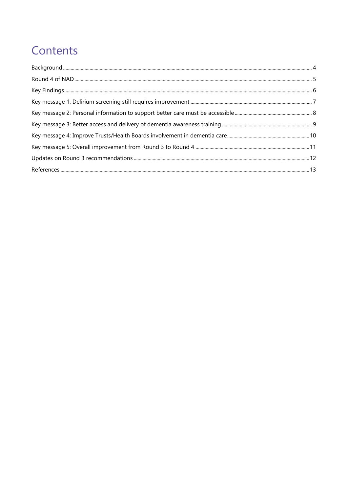# Contents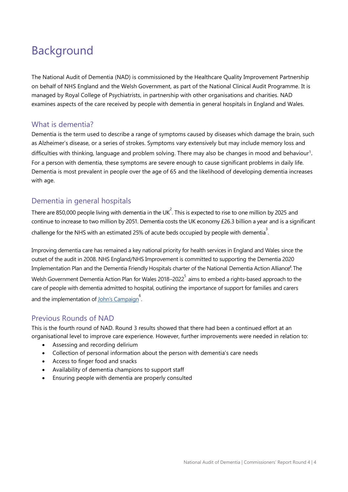## <span id="page-3-0"></span>Background

The National Audit of Dementia (NAD) is commissioned by the Healthcare Quality Improvement Partnership on behalf of NHS England and the Welsh Government, as part of the National Clinical Audit Programme. It is managed by Royal College of Psychiatrists, in partnership with other organisations and charities. NAD examines aspects of the care received by people with dementia in general hospitals in England and Wales.

#### What is dementia?

Dementia is the term used to describe a range of symptoms caused by diseases which damage the brain, such as Alzheimer's disease, or a series of strokes. Symptoms vary extensively but may include memory loss and difficulties with thinking, language and problem solving. There may also be changes in mood and behaviour<sup>1</sup>. For a person with dementia, these symptoms are severe enough to cause significant problems in daily life. Dementia is most prevalent in people over the age of 65 and the likelihood of developing dementia increases with age.

### Dementia in general hospitals

There are 850,000 people living with dementia in the UK<sup>2</sup>. This is expected to rise to one million by 2025 and continue to increase to two million by 2051. Dementia costs the UK economy £26.3 billion a year and is a significant challenge for the NHS with an estimated 25% of acute beds occupied by people with dementia<sup>3</sup>.

Improving dementia care has remained a key national priority for health services in England and Wales since the outset of the audit in 2008. NHS England/NHS Improvement is committed to supporting the Dementia 2020 Implementation Plan and the Dementia Friendly Hospitals charter of the National Dementia Action Alliance<sup>4</sup>. The Welsh Government Dementia Action Plan for Wales 2018–2022 $^5$  aims to embed a rights-based approach to the care of people with dementia admitted to hospital, outlining the importance of support for families and carers and the implementation of John's [Campaign](https://johnscampaign.org.uk/docs/external/age-uk-implementing-johns-campaign.pdf)<sup>6</sup>.

#### Previous Rounds of NAD

This is the fourth round of NAD. Round 3 results showed that there had been a continued effort at an organisational level to improve care experience. However, further improvements were needed in relation to:

- Assessing and recording delirium
- Collection of personal information about the person with dementia's care needs
- Access to finger food and snacks
- Availability of dementia champions to support staff
- Ensuring people with dementia are properly consulted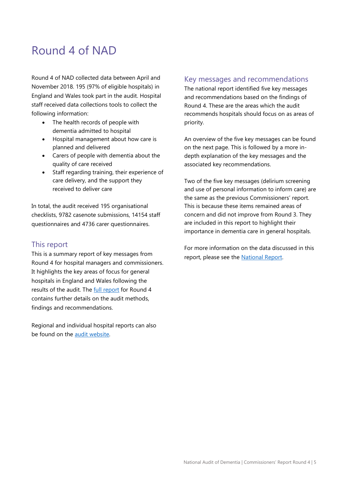### <span id="page-4-0"></span>Round 4 of NAD

Round 4 of NAD collected data between April and November 2018. 195 (97% of eligible hospitals) in England and Wales took part in the audit. Hospital staff received data collections tools to collect the following information:

- The health records of people with dementia admitted to hospital
- Hospital management about how care is planned and delivered
- Carers of people with dementia about the quality of care received
- Staff regarding training, their experience of care delivery, and the support they received to deliver care

In total, the audit received 195 organisational checklists, 9782 casenote submissions, 14154 staff questionnaires and 4736 carer questionnaires.

#### This report

This is a summary report of key messages from Round 4 for hospital managers and commissioners. It highlights the key areas of focus for general hospitals in England and Wales following the results of the audit. The [full report](https://www.rcpsych.ac.uk/docs/default-source/improving-care/ccqi/national-clinical-audits/national-audit-of-dementia/r4-resources/national-audit-of-dementia-round-4-report-online.pdf?sfvrsn=f75c5b75_6) for Round 4 contains further details on the audit methods, findings and recommendations.

Regional and individual hospital reports can also be found on the [audit website.](https://www.rcpsych.ac.uk/improving-care/ccqi/national-clinical-audits/national-audit-of-dementia/audit-round-4/art-prize-entries/national-audit-of-dementia-art-prize)

#### Key messages and recommendations

The national report identified five key messages and recommendations based on the findings of Round 4. These are the areas which the audit recommends hospitals should focus on as areas of priority.

An overview of the five key messages can be found on the next page. This is followed by a more indepth explanation of the key messages and the associated key recommendations.

Two of the five key messages (delirium screening and use of personal information to inform care) are the same as the previous Commissioners' report. This is because these items remained areas of concern and did not improve from Round 3. They are included in this report to highlight their importance in dementia care in general hospitals.

For more information on the data discussed in this report, please see the [National Report.](https://www.rcpsych.ac.uk/improving-care/ccqi/national-clinical-audits/national-audit-of-dementia/audit-round-4)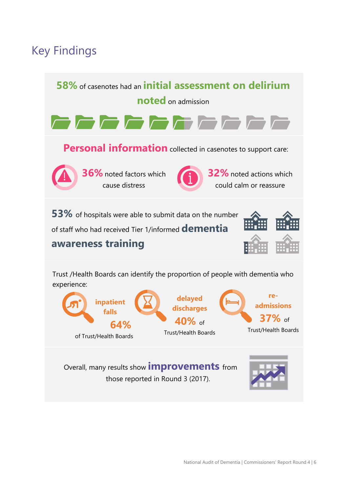# <span id="page-5-0"></span>Key Findings

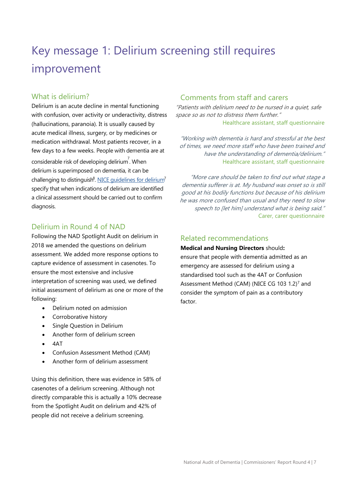# <span id="page-6-0"></span>Key message 1: Delirium screening still requires improvement

#### What is delirium?

Delirium is an acute decline in mental functioning with confusion, over activity or underactivity, distress (hallucinations, paranoia). It is usually caused by acute medical illness, surgery, or by medicines or medication withdrawal. Most patients recover, in a few days to a few weeks. People with dementia are at considerable risk of developing delirium<sup>7</sup>. When delirium is superimposed on dementia, it can be challenging to distinguish<sup>8</sup>. NICE quidelines for delirium<sup>7</sup> specify that when indications of delirium are identified a clinical assessment should be carried out to confirm diagnosis.

#### Delirium in Round 4 of NAD

Following the NAD Spotlight Audit on delirium in 2018 we amended the questions on delirium assessment. We added more response options to capture evidence of assessment in casenotes. To ensure the most extensive and inclusive interpretation of screening was used, we defined initial assessment of delirium as one or more of the following:

- Delirium noted on admission
- Corroborative history
- Single Question in Delirium
- Another form of delirium screen
- $4\Delta T$
- Confusion Assessment Method (CAM)
- Another form of delirium assessment

Using this definition, there was evidence in 58% of casenotes of a delirium screening. Although not directly comparable this is actually a 10% decrease from the Spotlight Audit on delirium and 42% of people did not receive a delirium screening.

### Comments from staff and carers

"Patients with delirium need to be nursed in a quiet, safe space so as not to distress them further." Healthcare assistant, staff questionnaire

"Working with dementia is hard and stressful at the best of times, we need more staff who have been trained and have the understanding of dementia/delirium." Healthcare assistant, staff questionnaire

"More care should be taken to find out what stage a dementia sufferer is at. My husband was onset so is still good at his bodily functions but because of his delirium he was more confused than usual and they need to slow speech to [let him] understand what is being said." Carer, carer questionnaire

#### Related recommendations

**Medical and Nursing Directors** should**:** ensure that people with dementia admitted as an emergency are assessed for delirium using a standardised tool such as the 4AT or Confusion Assessment Method (CAM) (NICE CG 103 1.2)<sup>7</sup> and consider the symptom of pain as a contributory factor.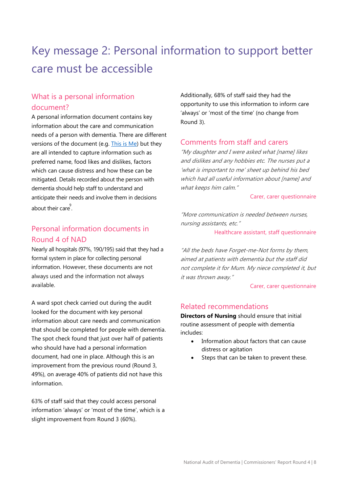# <span id="page-7-0"></span>Key message 2: Personal information to support better care must be accessible

### What is a personal information document?

A personal information document contains key information about the care and communication needs of a person with dementia. There are different versions of the document (e.g. [This is Me\)](https://www.alzheimers.org.uk/info/20033/publications_and_factsheets/680/this_is_me) but they are all intended to capture information such as preferred name, food likes and dislikes, factors which can cause distress and how these can be mitigated. Details recorded about the person with dementia should help staff to understand and anticipate their needs and involve them in decisions about their care 9 .

### Personal information documents in Round 4 of NAD

Nearly all hospitals (97%, 190/195) said that they had a formal system in place for collecting personal information. However, these documents are not always used and the information not always available.

A ward spot check carried out during the audit looked for the document with key personal information about care needs and communication that should be completed for people with dementia. The spot check found that just over half of patients who should have had a personal information document, had one in place. Although this is an improvement from the previous round (Round 3, 49%), on average 40% of patients did not have this information.

63% of staff said that they could access personal information 'always' or 'most of the time', which is a slight improvement from Round 3 (60%).

Additionally, 68% of staff said they had the opportunity to use this information to inform care 'always' or 'most of the time' (no change from Round 3).

#### Comments from staff and carers

"My daughter and I were asked what [name] likes and dislikes and any hobbies etc. The nurses put a 'what is important to me' sheet up behind his bed which had all useful information about [name] and what keeps him calm."

#### Carer, carer questionnaire

"More communication is needed between nurses, nursing assistants, etc."

#### Healthcare assistant, staff questionnaire

"All the beds have Forget-me-Not forms by them, aimed at patients with dementia but the staff did not complete it for Mum. My niece completed it, but it was thrown away."

#### Carer, carer questionnaire

#### Related recommendations

**Directors of Nursing** should ensure that initial routine assessment of people with dementia includes:

- Information about factors that can cause distress or agitation
- Steps that can be taken to prevent these.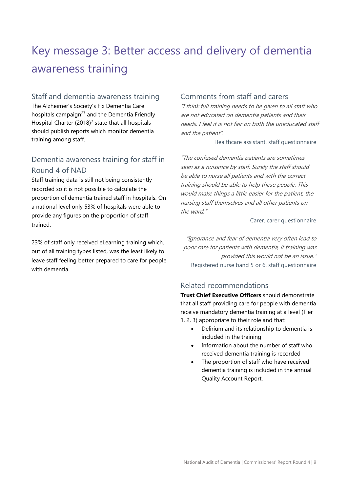# <span id="page-8-0"></span>Key message 3: Better access and delivery of dementia awareness training

### Staff and dementia awareness training

The Alzheimer's Society's Fix Dementia Care hospitals campaign $27$  and the Dementia Friendly Hospital Charter  $(2018)^7$  state that all hospitals should publish reports which monitor dementia training among staff.

### Dementia awareness training for staff in Round 4 of NAD

Staff training data is still not being consistently recorded so it is not possible to calculate the proportion of dementia trained staff in hospitals. On a national level only 53% of hospitals were able to provide any figures on the proportion of staff trained.

23% of staff only received eLearning training which, out of all training types listed, was the least likely to leave staff feeling better prepared to care for people with dementia.

#### Comments from staff and carers

"I think full training needs to be given to all staff who are not educated on dementia patients and their needs. I feel it is not fair on both the uneducated staff and the patient".

Healthcare assistant, staff questionnaire

"The confused dementia patients are sometimes seen as a nuisance by staff. Surely the staff should be able to nurse all patients and with the correct training should be able to help these people. This would make things a little easier for the patient, the nursing staff themselves and all other patients on the ward."

#### Carer, carer questionnaire

"Ignorance and fear of dementia very often lead to poor care for patients with dementia, if training was provided this would not be an issue." Registered nurse band 5 or 6, staff questionnaire

### Related recommendations

**Trust Chief Executive Officers** should demonstrate that all staff providing care for people with dementia receive mandatory dementia training at a level (Tier 1, 2, 3) appropriate to their role and that:

- Delirium and its relationship to dementia is included in the training
- Information about the number of staff who received dementia training is recorded
- The proportion of staff who have received dementia training is included in the annual Quality Account Report.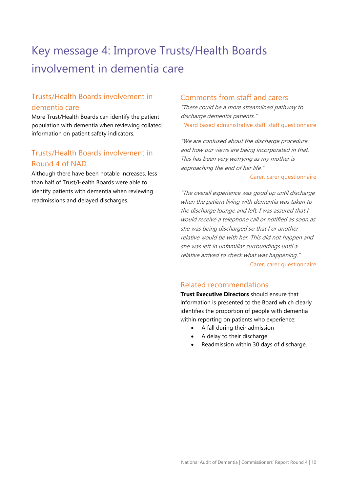# <span id="page-9-0"></span>Key message 4: Improve Trusts/Health Boards involvement in dementia care

### Trusts/Health Boards involvement in dementia care

More Trust/Health Boards can identify the patient population with dementia when reviewing collated information on patient safety indicators.

### Trusts/Health Boards involvement in Round 4 of NAD

Although there have been notable increases, less than half of Trust/Health Boards were able to identify patients with dementia when reviewing readmissions and delayed discharges.

#### Comments from staff and carers

"There could be a more streamlined pathway to discharge dementia patients." Ward based administrative staff, staff questionnaire

"We are confused about the discharge procedure and how our views are being incorporated in that. This has been very worrying as my mother is approaching the end of her life."

#### Carer, carer questionnaire

"The overall experience was good up until discharge when the patient living with dementia was taken to the discharge lounge and left. I was assured that I would receive a telephone call or notified as soon as she was being discharged so that I or another relative would be with her. This did not happen and she was left in unfamiliar surroundings until a relative arrived to check what was happening." Carer, carer questionnaire

### Related recommendations

**Trust Executive Directors** should ensure that information is presented to the Board which clearly identifies the proportion of people with dementia within reporting on patients who experience:

- A fall during their admission
- A delay to their discharge
- Readmission within 30 days of discharge.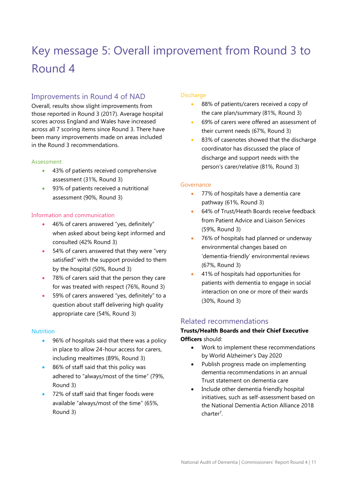# <span id="page-10-0"></span>Key message 5: Overall improvement from Round 3 to Round 4

### Improvements in Round 4 of NAD

Overall, results show slight improvements from those reported in Round 3 (2017). Average hospital scores across England and Wales have increased across all 7 scoring items since Round 3. There have been many improvements made on areas included in the Round 3 recommendations.

#### Assessment

- 43% of patients received comprehensive assessment (31%, Round 3)
- 93% of patients received a nutritional assessment (90%, Round 3)

#### Information and communication

- 46% of carers answered "yes, definitely" when asked about being kept informed and consulted (42% Round 3)
- 54% of carers answered that they were "very satisfied" with the support provided to them by the hospital (50%, Round 3)
- 78% of carers said that the person they care for was treated with respect (76%, Round 3)
- 59% of carers answered "yes, definitely" to a question about staff delivering high quality appropriate care (54%, Round 3)

#### **Nutrition**

- 96% of hospitals said that there was a policy in place to allow 24-hour access for carers, including mealtimes (89%, Round 3)
- 86% of staff said that this policy was adhered to "always/most of the time" (79%, Round 3)
- 72% of staff said that finger foods were available "always/most of the time" (65%, Round 3)

#### **Discharge**

- 88% of patients/carers received a copy of the care plan/summary (81%, Round 3)
- 69% of carers were offered an assessment of their current needs (67%, Round 3)
- 83% of casenotes showed that the discharge coordinator has discussed the place of discharge and support needs with the person's carer/relative (81%, Round 3)

#### Governance

- 77% of hospitals have a dementia care pathway (61%, Round 3)
- 64% of Trust/Heath Boards receive feedback from Patient Advice and Liaison Services (59%, Round 3)
- 76% of hospitals had planned or underway environmental changes based on 'dementia-friendly' environmental reviews (67%, Round 3)
- 41% of hospitals had opportunities for patients with dementia to engage in social interaction on one or more of their wards (30%, Round 3)

#### Related recommendations

#### **Trusts/Health Boards and their Chief Executive Officers** should:

- Work to implement these recommendations by World Alzheimer's Day 2020
- Publish progress made on implementing dementia recommendations in an annual Trust statement on dementia care
- Include other dementia friendly hospital initiatives, such as self-assessment based on the National Dementia Action Alliance 2018 charter<sup>7</sup>.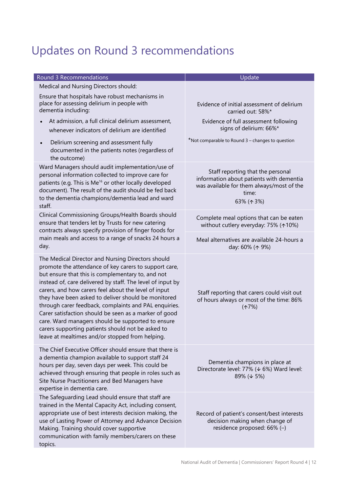# <span id="page-11-0"></span>Updates on Round 3 recommendations

| Round 3 Recommendations                                                                                                                                                                                                                                                                                                                                                                                                                                                                                                                                                                                                     | Update                                                                                                                                                      |
|-----------------------------------------------------------------------------------------------------------------------------------------------------------------------------------------------------------------------------------------------------------------------------------------------------------------------------------------------------------------------------------------------------------------------------------------------------------------------------------------------------------------------------------------------------------------------------------------------------------------------------|-------------------------------------------------------------------------------------------------------------------------------------------------------------|
| Medical and Nursing Directors should:                                                                                                                                                                                                                                                                                                                                                                                                                                                                                                                                                                                       |                                                                                                                                                             |
| Ensure that hospitals have robust mechanisms in<br>place for assessing delirium in people with<br>dementia including:                                                                                                                                                                                                                                                                                                                                                                                                                                                                                                       | Evidence of initial assessment of delirium<br>carried out: 58%*                                                                                             |
| At admission, a full clinical delirium assessment,<br>whenever indicators of delirium are identified                                                                                                                                                                                                                                                                                                                                                                                                                                                                                                                        | Evidence of full assessment following<br>signs of delirium: 66%*                                                                                            |
| Delirium screening and assessment fully<br>$\bullet$<br>documented in the patients notes (regardless of<br>the outcome)                                                                                                                                                                                                                                                                                                                                                                                                                                                                                                     | *Not comparable to Round 3 - changes to question                                                                                                            |
| Ward Managers should audit implementation/use of<br>personal information collected to improve care for<br>patients (e.g. This is Me <sup>16</sup> or other locally developed<br>document). The result of the audit should be fed back<br>to the dementia champions/dementia lead and ward<br>staff.                                                                                                                                                                                                                                                                                                                         | Staff reporting that the personal<br>information about patients with dementia<br>was available for them always/most of the<br>time:<br>63% ( $\uparrow$ 3%) |
| Clinical Commissioning Groups/Health Boards should<br>ensure that tenders let by Trusts for new catering<br>contracts always specify provision of finger foods for<br>main meals and access to a range of snacks 24 hours a<br>day.                                                                                                                                                                                                                                                                                                                                                                                         | Complete meal options that can be eaten<br>without cutlery everyday: 75% ( $\uparrow$ 10%)                                                                  |
|                                                                                                                                                                                                                                                                                                                                                                                                                                                                                                                                                                                                                             | Meal alternatives are available 24-hours a<br>day: 60% ( $\uparrow$ 9%)                                                                                     |
| The Medical Director and Nursing Directors should<br>promote the attendance of key carers to support care,<br>but ensure that this is complementary to, and not<br>instead of, care delivered by staff. The level of input by<br>carers, and how carers feel about the level of input<br>they have been asked to deliver should be monitored<br>through carer feedback, complaints and PAL enquiries.<br>Carer satisfaction should be seen as a marker of good<br>care. Ward managers should be supported to ensure<br>carers supporting patients should not be asked to<br>leave at mealtimes and/or stopped from helping. | Staff reporting that carers could visit out<br>of hours always or most of the time: 86%<br>(17%)                                                            |
| The Chief Executive Officer should ensure that there is<br>a dementia champion available to support staff 24<br>hours per day, seven days per week. This could be<br>achieved through ensuring that people in roles such as<br>Site Nurse Practitioners and Bed Managers have<br>expertise in dementia care.                                                                                                                                                                                                                                                                                                                | Dementia champions in place at<br>Directorate level: 77% (↓ 6%) Ward level:<br>89% ( $\sqrt{5\%}$ )                                                         |
| The Safeguarding Lead should ensure that staff are<br>trained in the Mental Capacity Act, including consent,<br>appropriate use of best interests decision making, the<br>use of Lasting Power of Attorney and Advance Decision<br>Making. Training should cover supportive<br>communication with family members/carers on these<br>topics.                                                                                                                                                                                                                                                                                 | Record of patient's consent/best interests<br>decision making when change of<br>residence proposed: 66% (-)                                                 |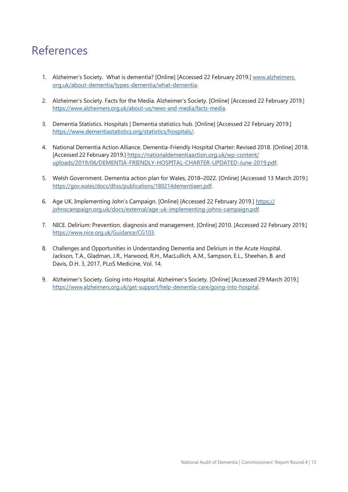### <span id="page-12-0"></span>References

- 1. Alzheimer's Society. What is dementia? [Online] [Accessed 22 February 2019.] [www.alzheimers.](http://www.alzheimers.org.uk/about-dementia/types-dementia/what-dementia) [org.uk/about-dementia/types-dementia/what-dementia.](http://www.alzheimers.org.uk/about-dementia/types-dementia/what-dementia)
- 2. Alzheimer's Society. Facts for the Media. Alzheimer's Society. [Online] [Accessed 22 February 2019.] [https://www.alzheimers.org.uk/about-us/news-and-media/facts-media.](https://www.alzheimers.org.uk/about-us/news-and-media/facts-media)
- 3. Dementia Statistics. Hospitals | Dementia statistics hub. [Online] [Accessed 22 February 2019.] [https://www.dementiastatistics.org/statistics/hospitals/.](https://www.dementiastatistics.org/statistics/hospitals/)
- 4. National Dementia Action Alliance. Dementia-Friendly Hospital Charter: Revised 2018. [Online] 2018. [Accessed 22 February 2019.] https://nationaldementiaaction.org.uk/wp-content/ uploads/2019/06/DEMENTIA-FRIENDLY-HOSPITAL-CHARTER-UPDATED-June-2019.pdf.
- 5. Welsh Government. Dementia action plan for Wales, 2018–2022. [Online] [Accessed 13 March 2019.] [https://gov.wales/docs/dhss/publications/180214dementiaen.pdf.](https://gov.wales/docs/dhss/publications/180214dementiaen.pdf)
- 6. Age UK. Implementing John's Campaign. [Online] [Accessed 22 February 2019.] [https://](https://johnscampaign.org.uk/docs/external/age-uk-implementing-johns-campaign.pdf) [johnscampaign.org.uk/docs/external/age-uk-implementing-johns-campaign.pdf.](https://johnscampaign.org.uk/docs/external/age-uk-implementing-johns-campaign.pdf)
- 7. NICE. Delirium: Prevention, diagnosis and management. [Online] 2010. [Accessed 22 February 2019.] [https://www.nice.org.uk/Guidance/CG103.](https://www.nice.org.uk/Guidance/CG103)
- 8. Challenges and Opportunities in Understanding Dementia and Delirium in the Acute Hospital. Jackson, T.A., Gladman, J.R., Harwood, R.H., MacLullich, A.M., Sampson, E.L., Sheehan, B. and Davis, D.H. 3, 2017, PLoS Medicine, Vol. 14.
- 9. Alzheimer's Society. Going into Hospital. Alzheimer's Society. [Online] [Accessed 29 March 2019.] [https://www.alzheimers.org.uk/get-support/help-dementia-care/going-into-hospital.](http://www.alzheimers.org.uk/get-support/help-dementia-care/going-into-hospital)